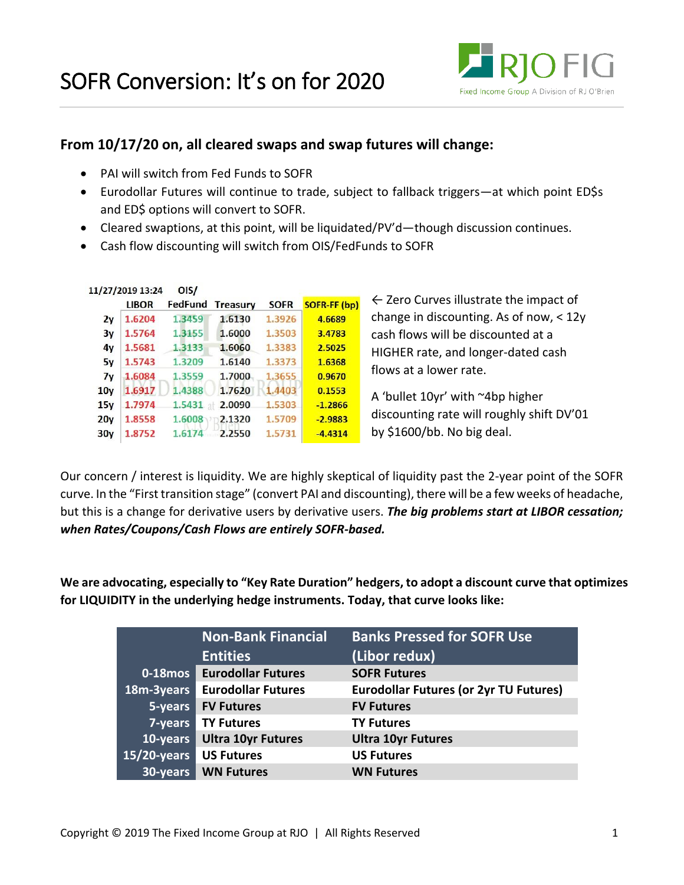

## **From 10/17/20 on, all cleared swaps and swap futures will change:**

- PAI will switch from Fed Funds to SOFR
- Eurodollar Futures will continue to trade, subject to fallback triggers—at which point ED\$s and ED\$ options will convert to SOFR.
- Cleared swaptions, at this point, will be liquidated/PV'd—though discussion continues.
- Cash flow discounting will switch from OIS/FedFunds to SOFR

|                 | 11/27/2019 13:24 | OIS/       |                 |             |              |                                                   |
|-----------------|------------------|------------|-----------------|-------------|--------------|---------------------------------------------------|
|                 | <b>LIBOR</b>     | FedFund    | <b>Treasury</b> | <b>SOFR</b> | SOFR-FF (bp) | $\leftarrow$ Zero Curves illustrate the impact of |
| 2y              | 1.6204           | 1.3459     | 1.6130          | 1.3926      | 4.6689       | change in discounting. As of now, < 12y           |
| 3y              | 1.5764           | 1.3155     | 1.6000          | 1.3503      | 3.4783       | cash flows will be discounted at a                |
| 4y              | 1.5681           | 1,3133     | 1.6060          | 1.3383      | 2.5025       | HIGHER rate, and longer-dated cash                |
| 5y              | 1.5743           | 1.3209     | 1.6140          | 1.3373      | 1.6368       |                                                   |
| 7y              | 1.6084           | 1.3559     | 1.7000          | 1.3655      | 0.9670       | flows at a lower rate.                            |
| 10 <sub>V</sub> | 1.6917           | 1.4388     | 1.7620          | 1.4403      | 0.1553       | A 'bullet 10yr' with ~4bp higher                  |
| 15v             | 1.7974           | $1.5431$ + | 2.0090          | 1.5303      | $-1.2866$    |                                                   |
| 20 <sub>V</sub> | 1.8558           | 1.6008     | 2.1320          | 1.5709      | $-2.9883$    | discounting rate will roughly shift DV'01         |
| 30y             | 1.8752           | 1.6174     | 2.2550          | 1.5731      | $-4.4314$    | by \$1600/bb. No big deal.                        |

Our concern / interest is liquidity. We are highly skeptical of liquidity past the 2-year point of the SOFR curve. In the "First transition stage" (convert PAI and discounting), there will be a few weeks of headache, but this is a change for derivative users by derivative users. *The big problems start at LIBOR cessation; when Rates/Coupons/Cash Flows are entirely SOFR-based.*

**We are advocating, especially to "Key Rate Duration" hedgers, to adopt a discount curve that optimizes for LIQUIDITY in the underlying hedge instruments. Today, that curve looks like:**

|                | <b>Non-Bank Financial</b> | <b>Banks Pressed for SOFR Use</b>             |
|----------------|---------------------------|-----------------------------------------------|
|                | <b>Entities</b>           | (Libor redux)                                 |
| $0 - 18$ mos   | <b>Eurodollar Futures</b> | <b>SOFR Futures</b>                           |
| 18m-3years     | <b>Eurodollar Futures</b> | <b>Eurodollar Futures (or 2yr TU Futures)</b> |
| 5-years        | <b>FV Futures</b>         | <b>FV Futures</b>                             |
| 7-years        | <b>TY Futures</b>         | <b>TY Futures</b>                             |
| 10-years       | <b>Ultra 10yr Futures</b> | <b>Ultra 10yr Futures</b>                     |
| $15/20$ -years | <b>US Futures</b>         | <b>US Futures</b>                             |
| 30-years       | <b>WN Futures</b>         | <b>WN Futures</b>                             |